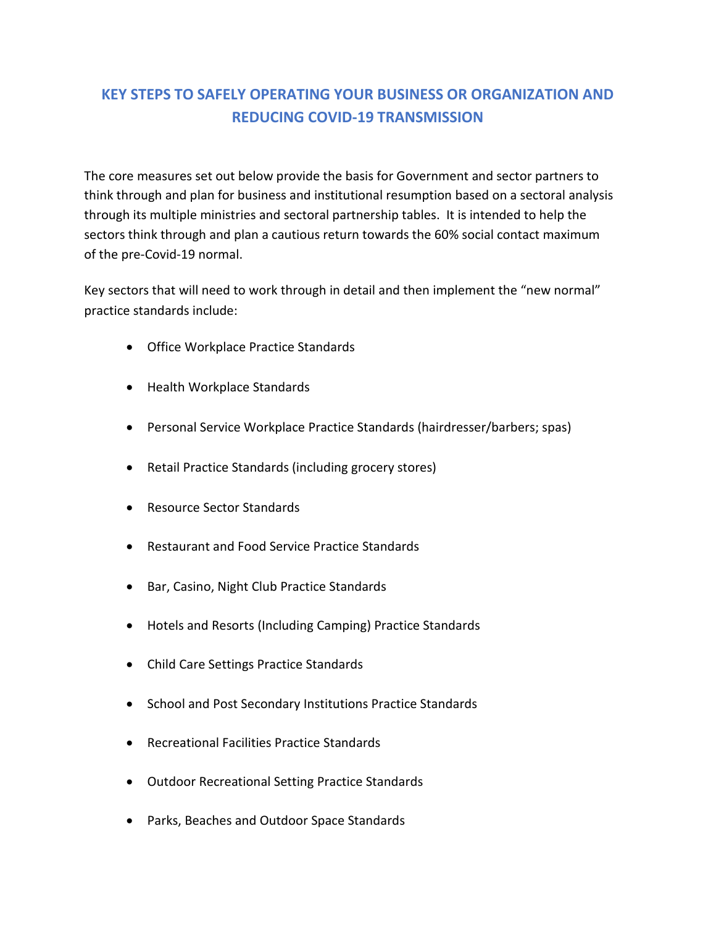# **KEY STEPS TO SAFELY OPERATING YOUR BUSINESS OR ORGANIZATION AND REDUCING COVID-19 TRANSMISSION**

The core measures set out below provide the basis for Government and sector partners to think through and plan for business and institutional resumption based on a sectoral analysis through its multiple ministries and sectoral partnership tables. It is intended to help the sectors think through and plan a cautious return towards the 60% social contact maximum of the pre-Covid-19 normal.

Key sectors that will need to work through in detail and then implement the "new normal" practice standards include:

- Office Workplace Practice Standards
- Health Workplace Standards
- Personal Service Workplace Practice Standards (hairdresser/barbers; spas)
- Retail Practice Standards (including grocery stores)
- Resource Sector Standards
- Restaurant and Food Service Practice Standards
- Bar, Casino, Night Club Practice Standards
- Hotels and Resorts (Including Camping) Practice Standards
- Child Care Settings Practice Standards
- School and Post Secondary Institutions Practice Standards
- Recreational Facilities Practice Standards
- Outdoor Recreational Setting Practice Standards
- Parks, Beaches and Outdoor Space Standards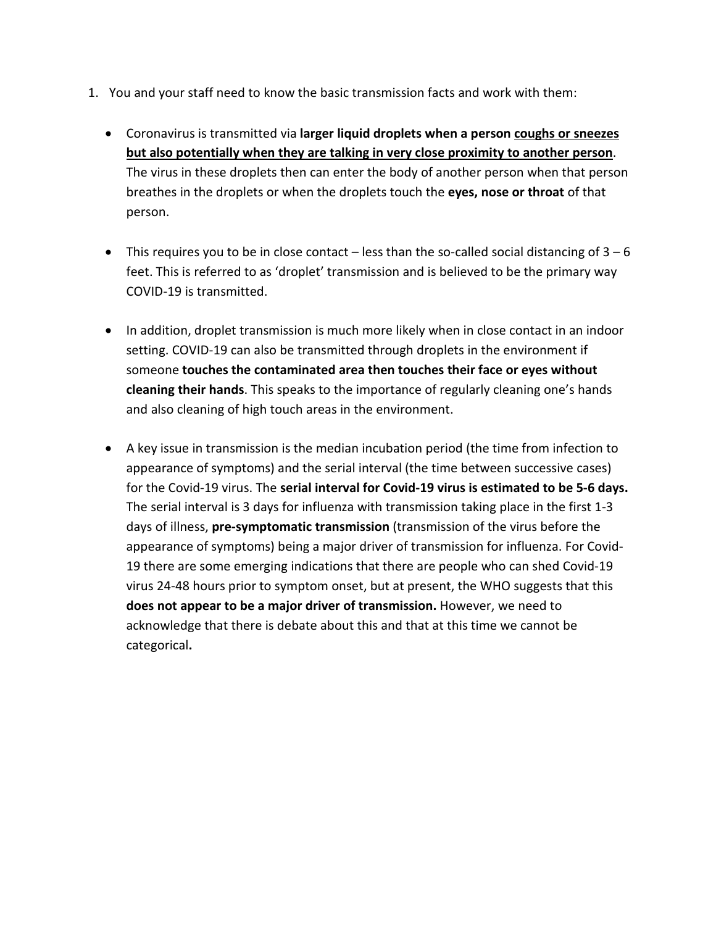- 1. You and your staff need to know the basic transmission facts and work with them:
	- Coronavirus is transmitted via **larger liquid droplets when a person coughs or sneezes but also potentially when they are talking in very close proximity to another person**. The virus in these droplets then can enter the body of another person when that person breathes in the droplets or when the droplets touch the **eyes, nose or throat** of that person.
	- This requires you to be in close contact less than the so-called social distancing of  $3 6$ feet. This is referred to as 'droplet' transmission and is believed to be the primary way COVID-19 is transmitted.
	- In addition, droplet transmission is much more likely when in close contact in an indoor setting. COVID-19 can also be transmitted through droplets in the environment if someone **touches the contaminated area then touches their face or eyes without cleaning their hands**. This speaks to the importance of regularly cleaning one's hands and also cleaning of high touch areas in the environment.
	- A key issue in transmission is the median incubation period (the time from infection to appearance of symptoms) and the serial interval (the time between successive cases) for the Covid-19 virus. The **serial interval for Covid-19 virus is estimated to be 5-6 days.**  The serial interval is 3 days for influenza with transmission taking place in the first 1-3 days of illness, **pre-symptomatic transmission** (transmission of the virus before the appearance of symptoms) being a major driver of transmission for influenza. For Covid-19 there are some emerging indications that there are people who can shed Covid-19 virus 24-48 hours prior to symptom onset, but at present, the WHO suggests that this **does not appear to be a major driver of transmission.** However, we need to acknowledge that there is debate about this and that at this time we cannot be categorical**.**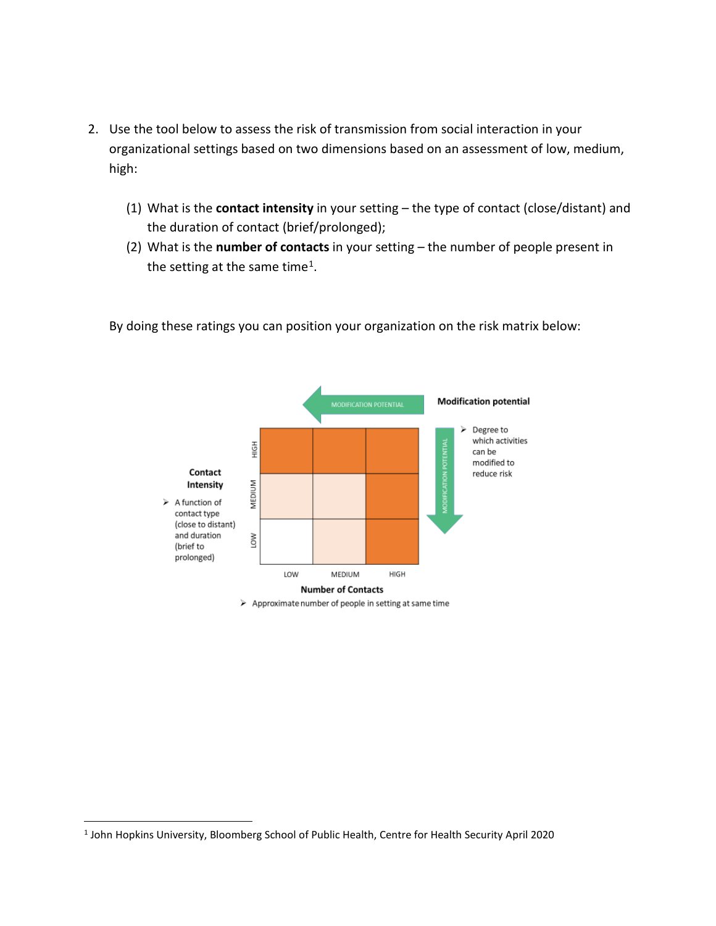- 2. Use the tool below to assess the risk of transmission from social interaction in your organizational settings based on two dimensions based on an assessment of low, medium, high:
	- (1) What is the **contact intensity** in your setting the type of contact (close/distant) and the duration of contact (brief/prolonged);
	- (2) What is the **number of contacts** in your setting the number of people present in the setting at the same time<sup>[1](#page-2-0)</sup>.



By doing these ratings you can position your organization on the risk matrix below:

<sup>&</sup>gt; Approximate number of people in setting at same time

<span id="page-2-0"></span> <sup>1</sup> John Hopkins University, Bloomberg School of Public Health, Centre for Health Security April 2020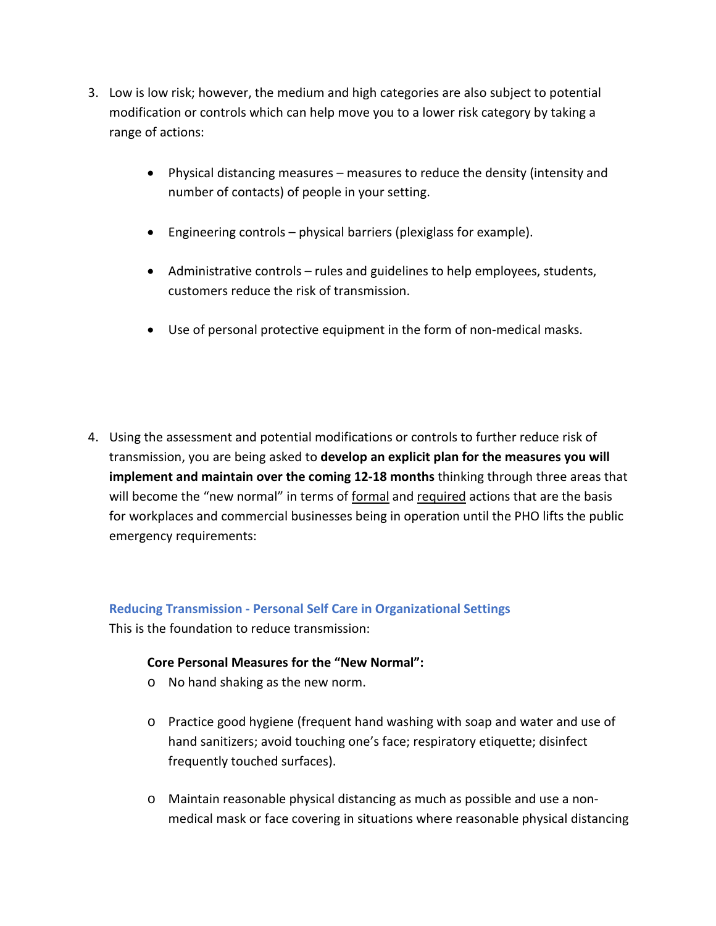- 3. Low is low risk; however, the medium and high categories are also subject to potential modification or controls which can help move you to a lower risk category by taking a range of actions:
	- Physical distancing measures measures to reduce the density (intensity and number of contacts) of people in your setting.
	- Engineering controls physical barriers (plexiglass for example).
	- Administrative controls rules and guidelines to help employees, students, customers reduce the risk of transmission.
	- Use of personal protective equipment in the form of non-medical masks.
- 4. Using the assessment and potential modifications or controls to further reduce risk of transmission, you are being asked to **develop an explicit plan for the measures you will implement and maintain over the coming 12-18 months** thinking through three areas that will become the "new normal" in terms of formal and required actions that are the basis for workplaces and commercial businesses being in operation until the PHO lifts the public emergency requirements:

### **Reducing Transmission - Personal Self Care in Organizational Settings**

This is the foundation to reduce transmission:

### **Core Personal Measures for the "New Normal":**

- o No hand shaking as the new norm.
- o Practice good hygiene (frequent hand washing with soap and water and use of hand sanitizers; avoid touching one's face; respiratory etiquette; disinfect frequently touched surfaces).
- o Maintain reasonable physical distancing as much as possible and use a nonmedical mask or face covering in situations where reasonable physical distancing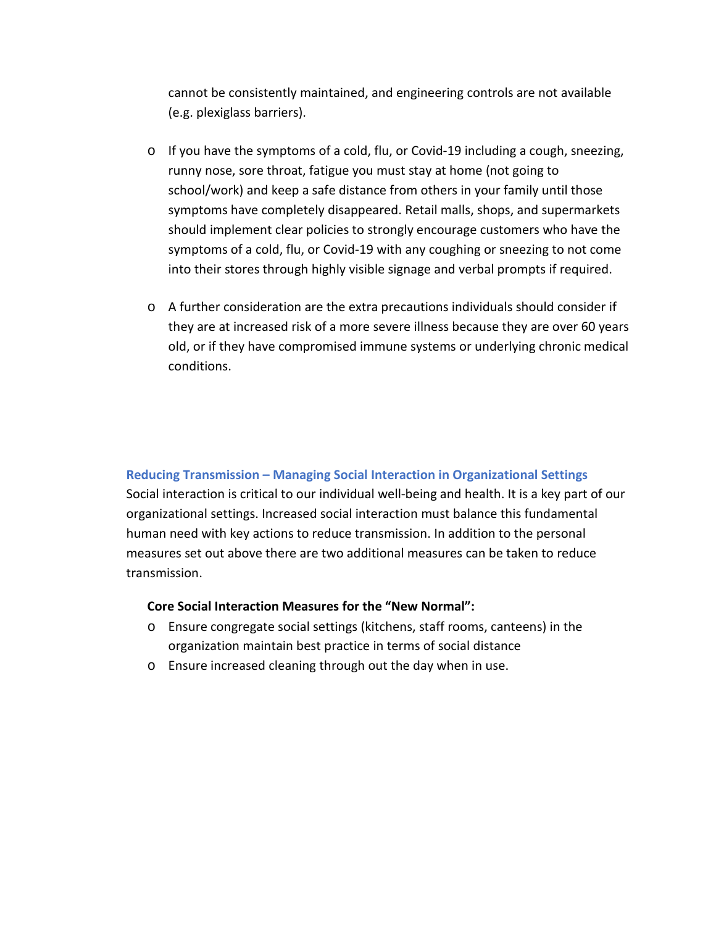cannot be consistently maintained, and engineering controls are not available (e.g. plexiglass barriers).

- $\circ$  If you have the symptoms of a cold, flu, or Covid-19 including a cough, sneezing, runny nose, sore throat, fatigue you must stay at home (not going to school/work) and keep a safe distance from others in your family until those symptoms have completely disappeared. Retail malls, shops, and supermarkets should implement clear policies to strongly encourage customers who have the symptoms of a cold, flu, or Covid-19 with any coughing or sneezing to not come into their stores through highly visible signage and verbal prompts if required.
- $\circ$  A further consideration are the extra precautions individuals should consider if they are at increased risk of a more severe illness because they are over 60 years old, or if they have compromised immune systems or underlying chronic medical conditions.

### **Reducing Transmission – Managing Social Interaction in Organizational Settings**

Social interaction is critical to our individual well-being and health. It is a key part of our organizational settings. Increased social interaction must balance this fundamental human need with key actions to reduce transmission. In addition to the personal measures set out above there are two additional measures can be taken to reduce transmission.

### **Core Social Interaction Measures for the "New Normal":**

- o Ensure congregate social settings (kitchens, staff rooms, canteens) in the organization maintain best practice in terms of social distance
- o Ensure increased cleaning through out the day when in use.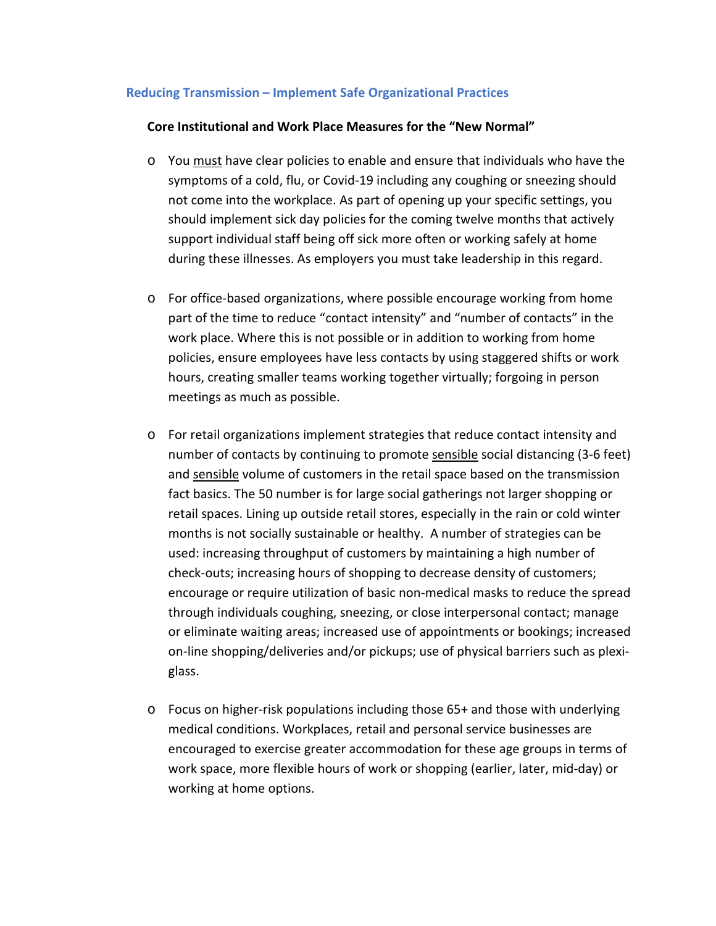### **Reducing Transmission – Implement Safe Organizational Practices**

### **Core Institutional and Work Place Measures for the "New Normal"**

- o You must have clear policies to enable and ensure that individuals who have the symptoms of a cold, flu, or Covid-19 including any coughing or sneezing should not come into the workplace. As part of opening up your specific settings, you should implement sick day policies for the coming twelve months that actively support individual staff being off sick more often or working safely at home during these illnesses. As employers you must take leadership in this regard.
- o For office-based organizations, where possible encourage working from home part of the time to reduce "contact intensity" and "number of contacts" in the work place. Where this is not possible or in addition to working from home policies, ensure employees have less contacts by using staggered shifts or work hours, creating smaller teams working together virtually; forgoing in person meetings as much as possible.
- o For retail organizations implement strategies that reduce contact intensity and number of contacts by continuing to promote sensible social distancing (3-6 feet) and sensible volume of customers in the retail space based on the transmission fact basics. The 50 number is for large social gatherings not larger shopping or retail spaces. Lining up outside retail stores, especially in the rain or cold winter months is not socially sustainable or healthy. A number of strategies can be used: increasing throughput of customers by maintaining a high number of check-outs; increasing hours of shopping to decrease density of customers; encourage or require utilization of basic non-medical masks to reduce the spread through individuals coughing, sneezing, or close interpersonal contact; manage or eliminate waiting areas; increased use of appointments or bookings; increased on-line shopping/deliveries and/or pickups; use of physical barriers such as plexiglass.
- o Focus on higher-risk populations including those 65+ and those with underlying medical conditions. Workplaces, retail and personal service businesses are encouraged to exercise greater accommodation for these age groups in terms of work space, more flexible hours of work or shopping (earlier, later, mid-day) or working at home options.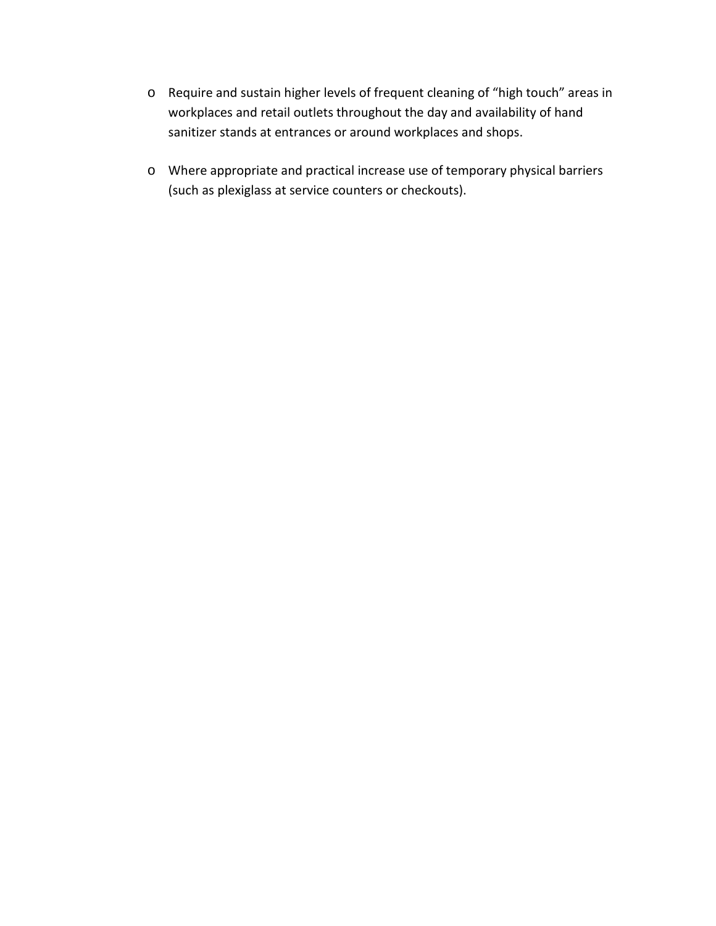- o Require and sustain higher levels of frequent cleaning of "high touch" areas in workplaces and retail outlets throughout the day and availability of hand sanitizer stands at entrances or around workplaces and shops.
- o Where appropriate and practical increase use of temporary physical barriers (such as plexiglass at service counters or checkouts).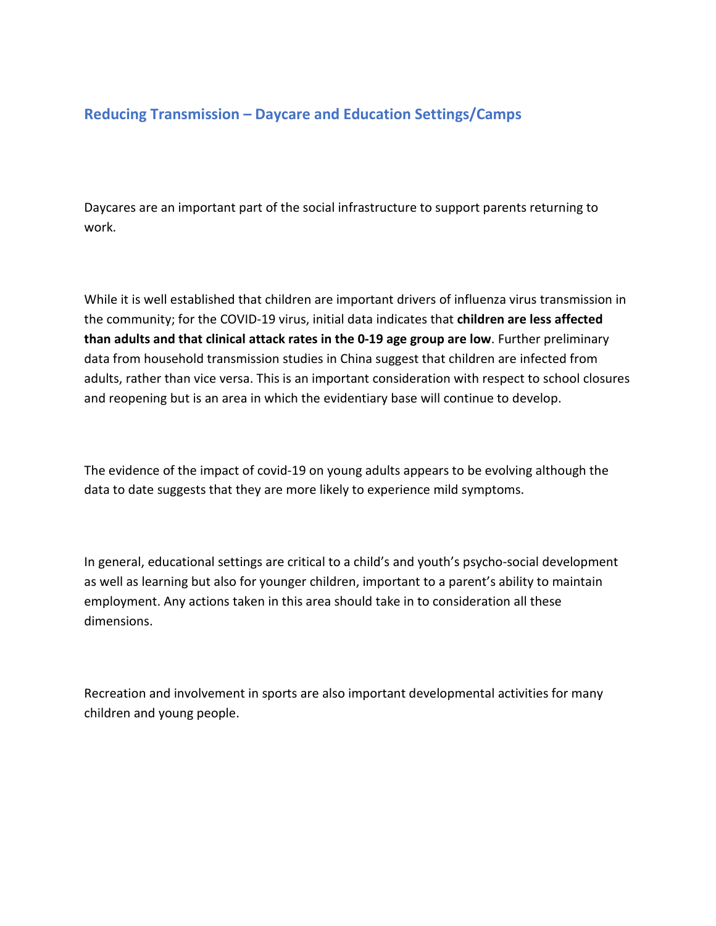## **Reducing Transmission – Daycare and Education Settings/Camps**

Daycares are an important part of the social infrastructure to support parents returning to work.

While it is well established that children are important drivers of influenza virus transmission in the community; for the COVID-19 virus, initial data indicates that **children are less affected than adults and that clinical attack rates in the 0-19 age group are low**. Further preliminary data from household transmission studies in China suggest that children are infected from adults, rather than vice versa. This is an important consideration with respect to school closures and reopening but is an area in which the evidentiary base will continue to develop.

The evidence of the impact of covid-19 on young adults appears to be evolving although the data to date suggests that they are more likely to experience mild symptoms.

In general, educational settings are critical to a child's and youth's psycho-social development as well as learning but also for younger children, important to a parent's ability to maintain employment. Any actions taken in this area should take in to consideration all these dimensions.

Recreation and involvement in sports are also important developmental activities for many children and young people.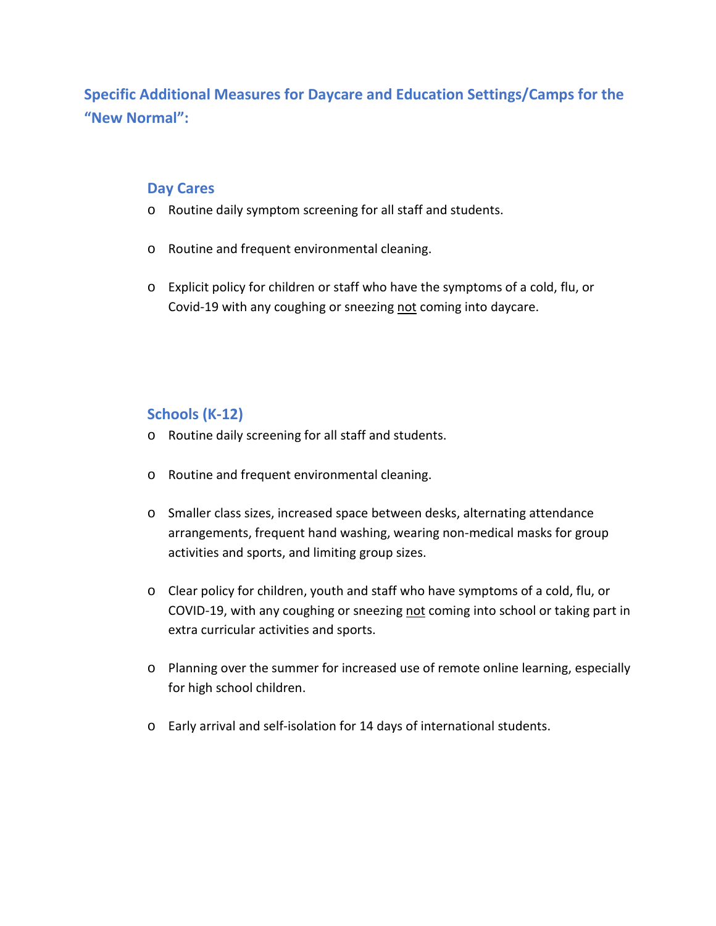# **Specific Additional Measures for Daycare and Education Settings/Camps for the "New Normal":**

### **Day Cares**

- o Routine daily symptom screening for all staff and students.
- o Routine and frequent environmental cleaning.
- o Explicit policy for children or staff who have the symptoms of a cold, flu, or Covid-19 with any coughing or sneezing not coming into daycare.

## **Schools (K-12)**

- o Routine daily screening for all staff and students.
- o Routine and frequent environmental cleaning.
- o Smaller class sizes, increased space between desks, alternating attendance arrangements, frequent hand washing, wearing non-medical masks for group activities and sports, and limiting group sizes.
- o Clear policy for children, youth and staff who have symptoms of a cold, flu, or COVID-19, with any coughing or sneezing not coming into school or taking part in extra curricular activities and sports.
- o Planning over the summer for increased use of remote online learning, especially for high school children.
- o Early arrival and self-isolation for 14 days of international students.